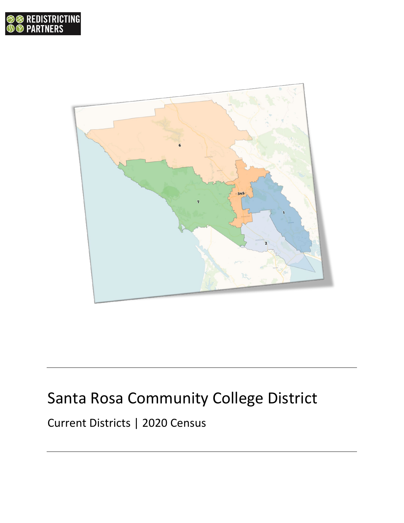



## Santa Rosa Community College District

Current Districts | 2020 Census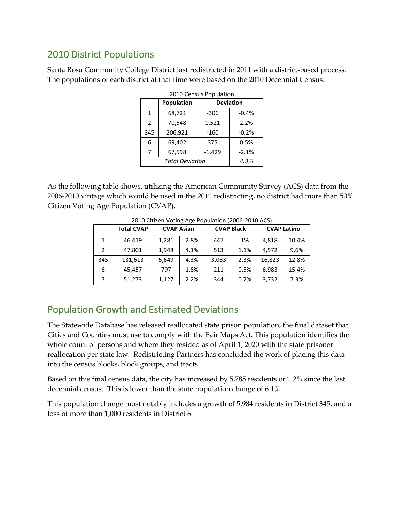## 2010 District Populations

Santa Rosa Community College District last redistricted in 2011 with a district-based process. The populations of each district at that time were based on the 2010 Decennial Census.

| 2010 Census Population |            |                  |         |  |  |
|------------------------|------------|------------------|---------|--|--|
|                        | Population | <b>Deviation</b> |         |  |  |
| 1                      | 68,721     | -306             | $-0.4%$ |  |  |
| $\mathcal{P}$          | 70,548     | 1,521            | 2.2%    |  |  |
| 345                    | 206,921    | -160             | $-0.2%$ |  |  |
| 6                      | 69,402     | 375              | 0.5%    |  |  |
| 7                      | 67,598     | $-1,429$         | $-2.1%$ |  |  |
|                        | 4.3%       |                  |         |  |  |

As the following table shows, utilizing the American Community Survey (ACS) data from the 2006-2010 vintage which would be used in the 2011 redistricting, no district had more than 50% Citizen Voting Age Population (CVAP).

|               | <b>Total CVAP</b> | <b>CVAP Asian</b> |      | <b>CVAP Black</b> |      | <b>CVAP Latino</b> |       |
|---------------|-------------------|-------------------|------|-------------------|------|--------------------|-------|
| 1             | 46,419            | 1,281             | 2.8% | 447               | 1%   | 4.818              | 10.4% |
| $\mathcal{P}$ | 47,801            | 1.948             | 4.1% | 513               | 1.1% | 4.572              | 9.6%  |
| 345           | 131,613           | 5,649             | 4.3% | 3,083             | 2.3% | 16,823             | 12.8% |
| 6             | 45.457            | 797               | 1.8% | 211               | 0.5% | 6,983              | 15.4% |
|               | 51,273            | 1,127             | 2.2% | 344               | 0.7% | 3,732              | 7.3%  |

2010 Citizen Voting Age Population (2006-2010 ACS)

## Population Growth and Estimated Deviations

The Statewide Database has released reallocated state prison population, the final dataset that Cities and Counties must use to comply with the Fair Maps Act. This population identifies the whole count of persons and where they resided as of April 1, 2020 with the state prisoner reallocation per state law. Redistricting Partners has concluded the work of placing this data into the census blocks, block groups, and tracts.

Based on this final census data, the city has increased by 5,785 residents or 1.2% since the last decennial census. This is lower than the state population change of 6.1%.

This population change most notably includes a growth of 5,984 residents in District 345, and a loss of more than 1,000 residents in District 6.